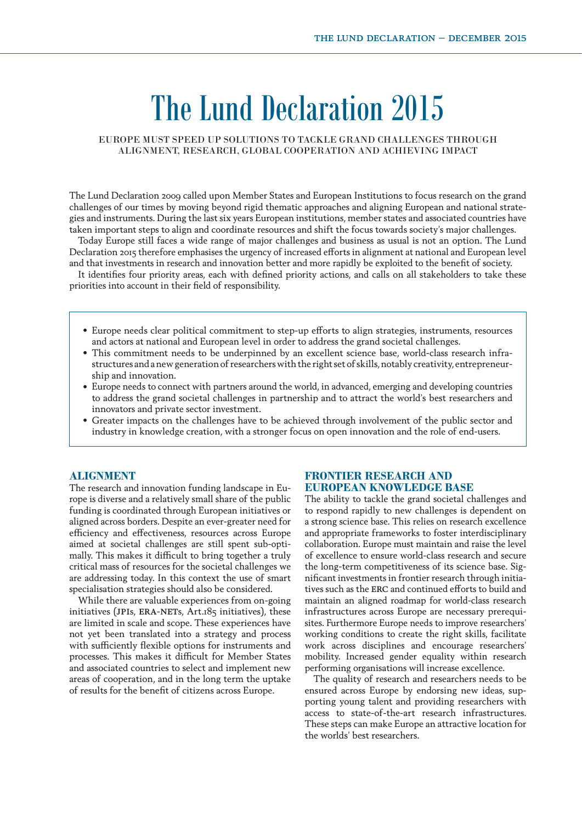# The Lund Declaration 2015

# EUROPE MUST SPEED UP SOLUTIONS TO TACKLE GRAND CHALLENGES THROUGH ALIGNMENT, RESEARCH, GLOBAL COOPERATION AND ACHIEVING IMPACT

The Lund Declaration 2009 called upon Member States and European Institutions to focus research on the grand challenges of our times by moving beyond rigid thematic approaches and aligning European and national strategies and instruments. During the last six years European institutions, member states and associated countries have taken important steps to align and coordinate resources and shift the focus towards society's major challenges.

Today Europe still faces a wide range of major challenges and business as usual is not an option. The Lund Declaration 2015 therefore emphasises the urgency of increased efforts in alignment at national and European level and that investments in research and innovation better and more rapidly be exploited to the benefit of society.

It identifies four priority areas, each with defined priority actions, and calls on all stakeholders to take these priorities into account in their field of responsibility.

- **•** Europe needs clear political commitment to step-up efforts to align strategies, instruments, resources and actors at national and European level in order to address the grand societal challenges.
- This commitment needs to be underpinned by an excellent science base, world-class research infrastructures and a new generation of researchers with the right set of skills, notably creativity, entrepreneurship and innovation.
- **•** Europe needs to connect with partners around the world, in advanced, emerging and developing countries to address the grand societal challenges in partnership and to attract the world's best researchers and innovators and private sector investment.
- **•** Greater impacts on the challenges have to be achieved through involvement of the public sector and industry in knowledge creation, with a stronger focus on open innovation and the role of end-users.

# **ALIGNMENT**

The research and innovation funding landscape in Europe is diverse and a relatively small share of the public funding is coordinated through European initiatives or aligned across borders. Despite an ever-greater need for efficiency and effectiveness, resources across Europe aimed at societal challenges are still spent sub-optimally. This makes it difficult to bring together a truly critical mass of resources for the societal challenges we are addressing today. In this context the use of smart specialisation strategies should also be considered.

While there are valuable experiences from on-going initiatives (JPIs, ERA-NETs, Art.185 initiatives), these are limited in scale and scope. These experiences have not yet been translated into a strategy and process with sufficiently flexible options for instruments and processes. This makes it difficult for Member States and associated countries to select and implement new areas of cooperation, and in the long term the uptake of results for the benefit of citizens across Europe.

# **FRONTIER RESEARCH AND EUROPEAN KNOWLEDGE BASE**

The ability to tackle the grand societal challenges and to respond rapidly to new challenges is dependent on a strong science base. This relies on research excellence and appropriate frameworks to foster interdisciplinary collaboration. Europe must maintain and raise the level of excellence to ensure world-class research and secure the long-term competitiveness of its science base. Significant investments in frontier research through initiatives such as the erc and continued efforts to build and maintain an aligned roadmap for world-class research infrastructures across Europe are necessary prerequisites. Furthermore Europe needs to improve researchers' working conditions to create the right skills, facilitate work across disciplines and encourage researchers' mobility. Increased gender equality within research performing organisations will increase excellence.

The quality of research and researchers needs to be ensured across Europe by endorsing new ideas, supporting young talent and providing researchers with access to state-of-the-art research infrastructures. These steps can make Europe an attractive location for the worlds' best researchers.